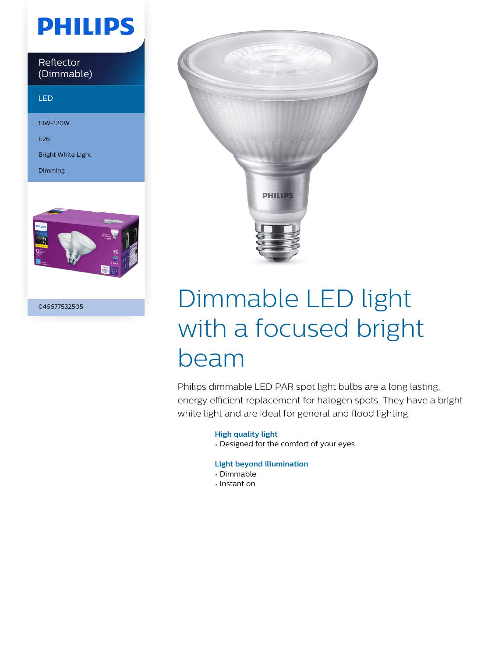# **PHILIPS**

Reflector (Dimmable)

#### LED

13W-120W

E26

Bright White Light

Dimming



046677532505



# Dimmable LED light with a focused bright beam

Philips dimmable LED PAR spot light bulbs are a long lasting, energy efficient replacement for halogen spots. They have a bright white light and are ideal for general and flood lighting.

### **High quality light**

• Designed for the comfort of your eyes

### **Light beyond illumination**

- Dimmable
- Instant on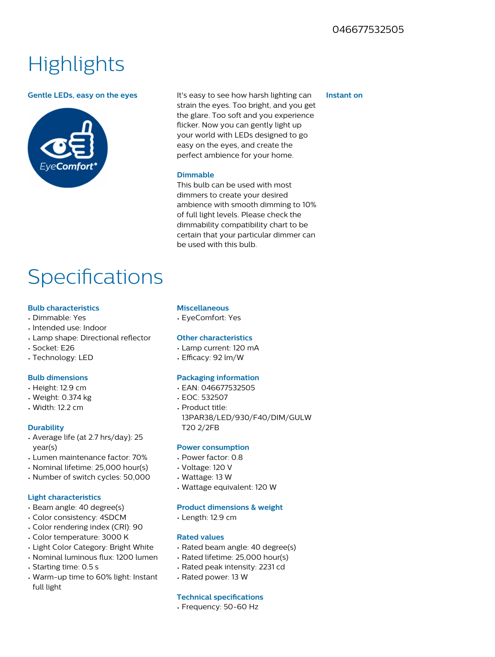## **Highlights**



**Gentle LEDs, easy on the eyes** It's easy to see how harsh lighting can strain the eyes. Too bright, and you get the glare. Too soft and you experience flicker. Now you can gently light up your world with LEDs designed to go easy on the eyes, and create the perfect ambience for your home.

#### **Dimmable**

This bulb can be used with most dimmers to create your desired ambience with smooth dimming to 10% of full light levels. Please check the dimmability compatibility chart to be certain that your particular dimmer can be used with this bulb.

### **Specifications**

#### **Bulb characteristics**

- Dimmable: Yes
- Intended use: Indoor
- Lamp shape: Directional reflector
- Socket: E26
- Technology: LED

#### **Bulb dimensions**

- Height: 12.9 cm
- Weight: 0.374 kg
- Width: 12.2 cm

#### **Durability**

- Average life (at 2.7 hrs/day): 25 year(s)
- Lumen maintenance factor: 70%
- Nominal lifetime: 25,000 hour(s)
- Number of switch cycles: 50,000

#### **Light characteristics**

- Beam angle: 40 degree(s)
- Color consistency: 4SDCM
- Color rendering index (CRI): 90
- Color temperature: 3000 K
- Light Color Category: Bright White
- Nominal luminous flux: 1200 lumen
- Starting time: 0.5 s
- Warm-up time to 60% light: Instant full light

#### **Miscellaneous**

• EyeComfort: Yes

#### **Other characteristics**

- Lamp current: 120 mA
- Efficacy: 92 lm/W

#### **Packaging information**

- EAN: 046677532505
- EOC: 532507
- Product title: 13PAR38/LED/930/F40/DIM/GULW T20 2/2FB

#### **Power consumption**

- Power factor: 0.8
- Voltage: 120 V
- Wattage: 13 W
- Wattage equivalent: 120 W

#### **Product dimensions & weight**

• Length: 12.9 cm

#### **Rated values**

- Rated beam angle: 40 degree(s)
- Rated lifetime: 25,000 hour(s)
- Rated peak intensity: 2231 cd
- Rated power: 13 W

#### **Technical specifications**

• Frequency: 50-60 Hz

#### **Instant on**